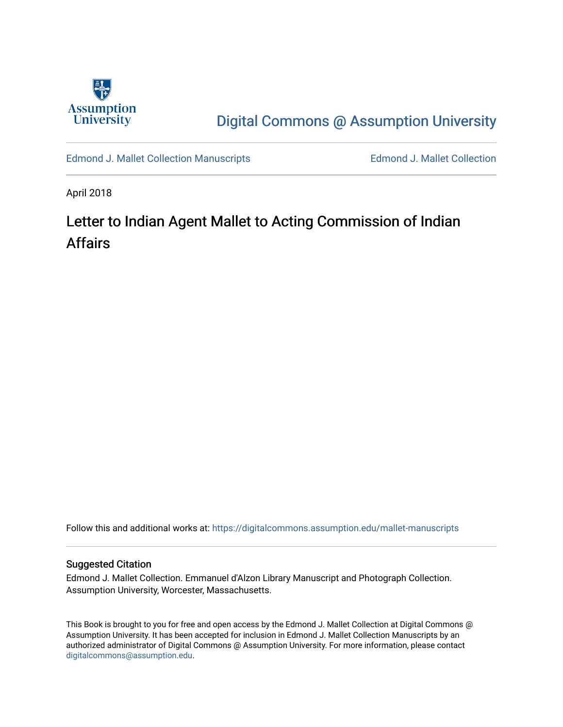

## [Digital Commons @ Assumption University](https://digitalcommons.assumption.edu/)

[Edmond J. Mallet Collection Manuscripts](https://digitalcommons.assumption.edu/mallet-manuscripts) **Edmond J. Mallet Collection** 

April 2018

# Letter to Indian Agent Mallet to Acting Commission of Indian Affairs

Follow this and additional works at: [https://digitalcommons.assumption.edu/mallet-manuscripts](https://digitalcommons.assumption.edu/mallet-manuscripts?utm_source=digitalcommons.assumption.edu%2Fmallet-manuscripts%2F20&utm_medium=PDF&utm_campaign=PDFCoverPages) 

#### Suggested Citation

Edmond J. Mallet Collection. Emmanuel d'Alzon Library Manuscript and Photograph Collection. Assumption University, Worcester, Massachusetts.

This Book is brought to you for free and open access by the Edmond J. Mallet Collection at Digital Commons @ Assumption University. It has been accepted for inclusion in Edmond J. Mallet Collection Manuscripts by an authorized administrator of Digital Commons @ Assumption University. For more information, please contact [digitalcommons@assumption.edu](mailto:digitalcommons@assumption.edu).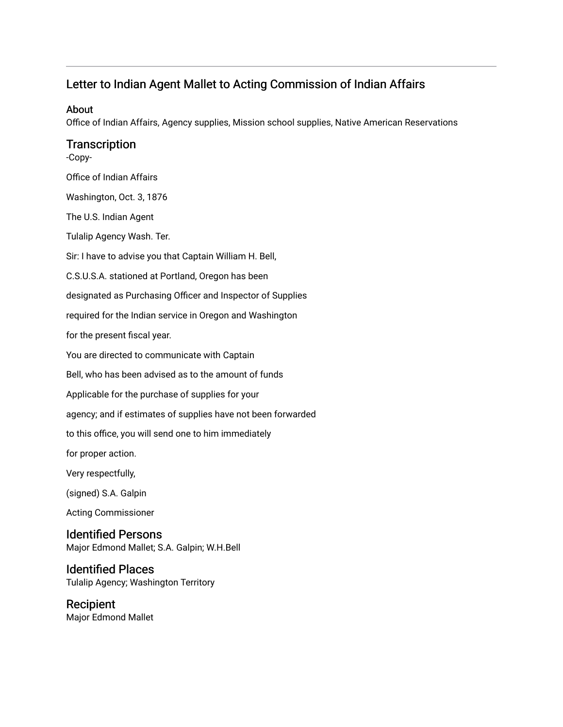## Letter to Indian Agent Mallet to Acting Commission of Indian Affairs

#### About

Office of Indian Affairs, Agency supplies, Mission school supplies, Native American Reservations

### **Transcription**

-Copy-Office of Indian Affairs Washington, Oct. 3, 1876 The U.S. Indian Agent Tulalip Agency Wash. Ter. Sir: I have to advise you that Captain William H. Bell, C.S.U.S.A. stationed at Portland, Oregon has been designated as Purchasing Officer and Inspector of Supplies required for the Indian service in Oregon and Washington for the present fiscal year. You are directed to communicate with Captain Bell, who has been advised as to the amount of funds Applicable for the purchase of supplies for your agency; and if estimates of supplies have not been forwarded to this office, you will send one to him immediately for proper action. Very respectfully, (signed) S.A. Galpin Acting Commissioner Identified Persons Major Edmond Mallet; S.A. Galpin; W.H.Bell Identified Places

Tulalip Agency; Washington Territory

Recipient Major Edmond Mallet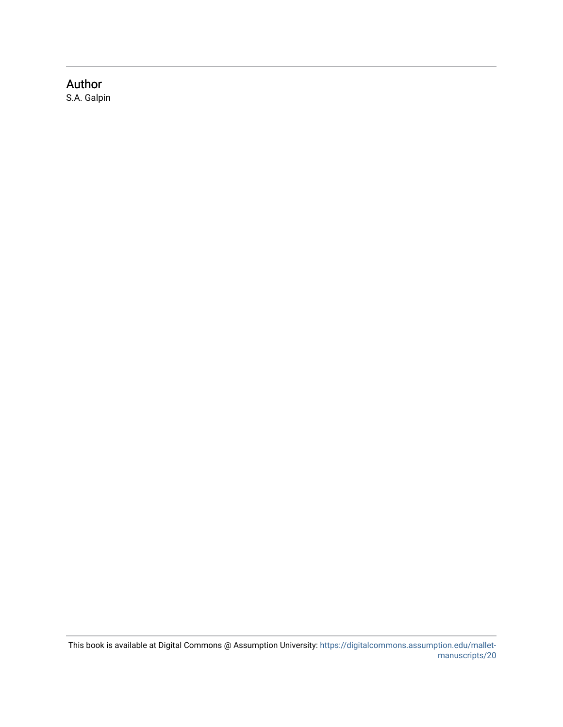## Author

S.A. Galpin